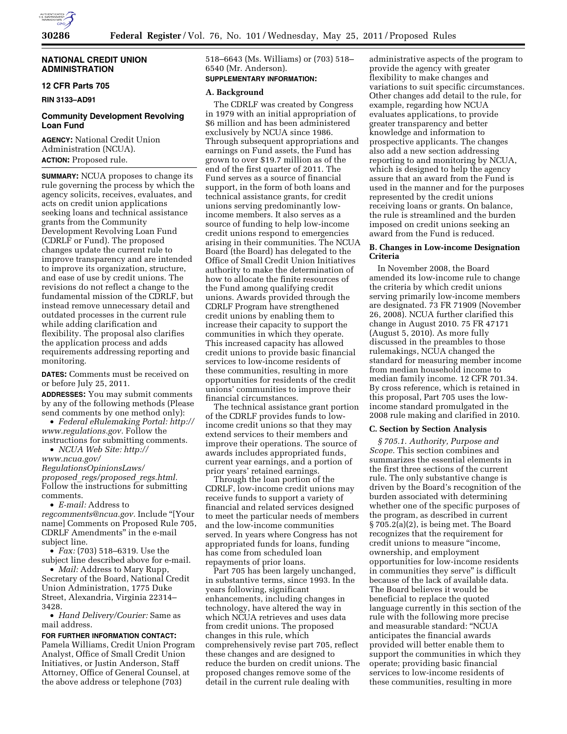

# **NATIONAL CREDIT UNION ADMINISTRATION**

# **12 CFR Parts 705**

**RIN 3133–AD91** 

# **Community Development Revolving Loan Fund**

**AGENCY:** National Credit Union Administration (NCUA). **ACTION:** Proposed rule.

**SUMMARY:** NCUA proposes to change its rule governing the process by which the agency solicits, receives, evaluates, and acts on credit union applications seeking loans and technical assistance grants from the Community Development Revolving Loan Fund (CDRLF or Fund). The proposed changes update the current rule to improve transparency and are intended to improve its organization, structure, and ease of use by credit unions. The revisions do not reflect a change to the fundamental mission of the CDRLF, but instead remove unnecessary detail and outdated processes in the current rule while adding clarification and flexibility. The proposal also clarifies the application process and adds requirements addressing reporting and monitoring.

**DATES:** Comments must be received on or before July 25, 2011.

**ADDRESSES:** You may submit comments by any of the following methods (Please send comments by one method only):

• *Federal eRulemaking Portal: [http://](http://www.regulations.gov)  [www.regulations.gov.](http://www.regulations.gov)* Follow the instructions for submitting comments.

• *NCUA Web Site: [http://](http://www.ncua.gov/RegulationsOpinionsLaws/proposed_regs/proposed_regs.html)* 

*[www.ncua.gov/](http://www.ncua.gov/RegulationsOpinionsLaws/proposed_regs/proposed_regs.html)* 

*[RegulationsOpinionsLaws/](http://www.ncua.gov/RegulationsOpinionsLaws/proposed_regs/proposed_regs.html) proposed*\_*[regs/proposed](http://www.ncua.gov/RegulationsOpinionsLaws/proposed_regs/proposed_regs.html)*\_*regs.html.*  Follow the instructions for submitting comments.

• *E-mail:* Address to

*[regcomments@ncua.gov.](mailto:regcomments@ncua.gov)* Include ''[Your name] Comments on Proposed Rule 705, CDRLF Amendments'' in the e-mail subject line.

• *Fax:* (703) 518–6319. Use the subject line described above for e-mail.

• *Mail:* Address to Mary Rupp, Secretary of the Board, National Credit Union Administration, 1775 Duke Street, Alexandria, Virginia 22314– 3428.

• *Hand Delivery/Courier:* Same as mail address.

**FOR FURTHER INFORMATION CONTACT:**  Pamela Williams, Credit Union Program Analyst, Office of Small Credit Union Initiatives, or Justin Anderson, Staff Attorney, Office of General Counsel, at the above address or telephone (703)

518–6643 (Ms. Williams) or (703) 518– 6540 (Mr. Anderson).

# **SUPPLEMENTARY INFORMATION:**

# **A. Background**

The CDRLF was created by Congress in 1979 with an initial appropriation of \$6 million and has been administered exclusively by NCUA since 1986. Through subsequent appropriations and earnings on Fund assets, the Fund has grown to over \$19.7 million as of the end of the first quarter of 2011. The Fund serves as a source of financial support, in the form of both loans and technical assistance grants, for credit unions serving predominantly lowincome members. It also serves as a source of funding to help low-income credit unions respond to emergencies arising in their communities. The NCUA Board (the Board) has delegated to the Office of Small Credit Union Initiatives authority to make the determination of how to allocate the finite resources of the Fund among qualifying credit unions. Awards provided through the CDRLF Program have strengthened credit unions by enabling them to increase their capacity to support the communities in which they operate. This increased capacity has allowed credit unions to provide basic financial services to low-income residents of these communities, resulting in more opportunities for residents of the credit unions' communities to improve their financial circumstances.

The technical assistance grant portion of the CDRLF provides funds to lowincome credit unions so that they may extend services to their members and improve their operations. The source of awards includes appropriated funds, current year earnings, and a portion of prior years' retained earnings.

Through the loan portion of the CDRLF, low-income credit unions may receive funds to support a variety of financial and related services designed to meet the particular needs of members and the low-income communities served. In years where Congress has not appropriated funds for loans, funding has come from scheduled loan repayments of prior loans.

Part 705 has been largely unchanged, in substantive terms, since 1993. In the years following, significant enhancements, including changes in technology, have altered the way in which NCUA retrieves and uses data from credit unions. The proposed changes in this rule, which comprehensively revise part 705, reflect these changes and are designed to reduce the burden on credit unions. The proposed changes remove some of the detail in the current rule dealing with

administrative aspects of the program to provide the agency with greater flexibility to make changes and variations to suit specific circumstances. Other changes add detail to the rule, for example, regarding how NCUA evaluates applications, to provide greater transparency and better knowledge and information to prospective applicants. The changes also add a new section addressing reporting to and monitoring by NCUA, which is designed to help the agency assure that an award from the Fund is used in the manner and for the purposes represented by the credit unions receiving loans or grants. On balance, the rule is streamlined and the burden imposed on credit unions seeking an award from the Fund is reduced.

### **B. Changes in Low-income Designation Criteria**

In November 2008, the Board amended its low-income rule to change the criteria by which credit unions serving primarily low-income members are designated. 73 FR 71909 (November 26, 2008). NCUA further clarified this change in August 2010. 75 FR 47171 (August 5, 2010). As more fully discussed in the preambles to those rulemakings, NCUA changed the standard for measuring member income from median household income to median family income. 12 CFR 701.34. By cross reference, which is retained in this proposal, Part 705 uses the lowincome standard promulgated in the 2008 rule making and clarified in 2010.

#### **C. Section by Section Analysis**

*§ 705.1. Authority, Purpose and Scope.* This section combines and summarizes the essential elements in the first three sections of the current rule. The only substantive change is driven by the Board's recognition of the burden associated with determining whether one of the specific purposes of the program, as described in current § 705.2(a)(2), is being met. The Board recognizes that the requirement for credit unions to measure ''income, ownership, and employment opportunities for low-income residents in communities they serve'' is difficult because of the lack of available data. The Board believes it would be beneficial to replace the quoted language currently in this section of the rule with the following more precise and measurable standard: ''NCUA anticipates the financial awards provided will better enable them to support the communities in which they operate; providing basic financial services to low-income residents of these communities, resulting in more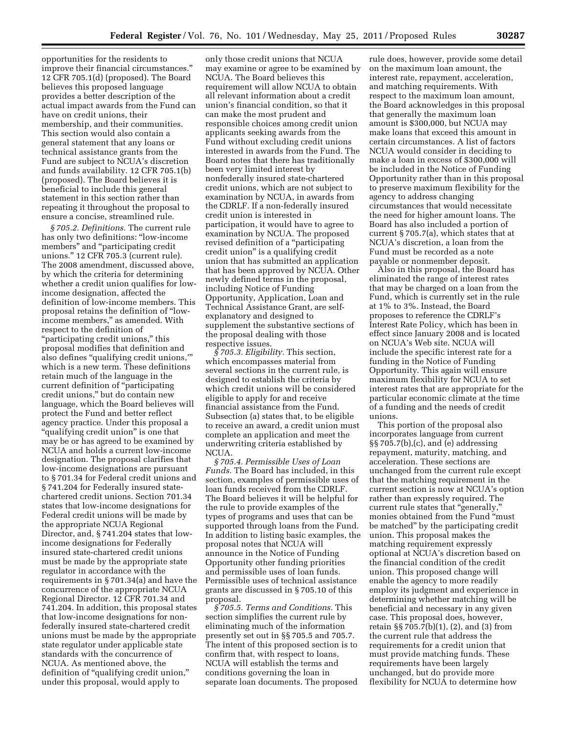opportunities for the residents to improve their financial circumstances.'' 12 CFR 705.1(d) (proposed). The Board believes this proposed language provides a better description of the actual impact awards from the Fund can have on credit unions, their membership, and their communities. This section would also contain a general statement that any loans or technical assistance grants from the Fund are subject to NCUA's discretion and funds availability. 12 CFR 705.1(b) (proposed). The Board believes it is beneficial to include this general statement in this section rather than repeating it throughout the proposal to ensure a concise, streamlined rule.

*§ 705.2. Definitions.* The current rule has only two definitions: ''low-income members'' and ''participating credit unions.'' 12 CFR 705.3 (current rule). The 2008 amendment, discussed above, by which the criteria for determining whether a credit union qualifies for lowincome designation, affected the definition of low-income members. This proposal retains the definition of ''lowincome members," as amended. With respect to the definition of ''participating credit unions,'' this proposal modifies that definition and also defines "qualifying credit unions," which is a new term. These definitions retain much of the language in the current definition of ''participating credit unions,'' but do contain new language, which the Board believes will protect the Fund and better reflect agency practice. Under this proposal a "qualifying credit union" is one that may be or has agreed to be examined by NCUA and holds a current low-income designation. The proposal clarifies that low-income designations are pursuant to § 701.34 for Federal credit unions and § 741.204 for Federally insured statechartered credit unions. Section 701.34 states that low-income designations for Federal credit unions will be made by the appropriate NCUA Regional Director, and, § 741.204 states that lowincome designations for Federally insured state-chartered credit unions must be made by the appropriate state regulator in accordance with the requirements in § 701.34(a) and have the concurrence of the appropriate NCUA Regional Director. 12 CFR 701.34 and 741.204. In addition, this proposal states that low-income designations for nonfederally insured state-chartered credit unions must be made by the appropriate state regulator under applicable state standards with the concurrence of NCUA. As mentioned above, the definition of "qualifying credit union," under this proposal, would apply to

only those credit unions that NCUA may examine or agree to be examined by NCUA. The Board believes this requirement will allow NCUA to obtain all relevant information about a credit union's financial condition, so that it can make the most prudent and responsible choices among credit union applicants seeking awards from the Fund without excluding credit unions interested in awards from the Fund. The Board notes that there has traditionally been very limited interest by nonfederally insured state-chartered credit unions, which are not subject to examination by NCUA, in awards from the CDRLF. If a non-federally insured credit union is interested in participation, it would have to agree to examination by NCUA. The proposed revised definition of a ''participating credit union'' is a qualifying credit union that has submitted an application that has been approved by NCUA. Other newly defined terms in the proposal, including Notice of Funding Opportunity, Application, Loan and Technical Assistance Grant, are selfexplanatory and designed to supplement the substantive sections of the proposal dealing with those respective issues.

*§ 705.3. Eligibility.* This section, which encompasses material from several sections in the current rule, is designed to establish the criteria by which credit unions will be considered eligible to apply for and receive financial assistance from the Fund. Subsection (a) states that, to be eligible to receive an award, a credit union must complete an application and meet the underwriting criteria established by NCU<sub>A</sub>.

*§ 705.4. Permissible Uses of Loan Funds.* The Board has included, in this section, examples of permissible uses of loan funds received from the CDRLF. The Board believes it will be helpful for the rule to provide examples of the types of programs and uses that can be supported through loans from the Fund. In addition to listing basic examples, the proposal notes that NCUA will announce in the Notice of Funding Opportunity other funding priorities and permissible uses of loan funds. Permissible uses of technical assistance grants are discussed in § 705.10 of this proposal.

*§ 705.5. Terms and Conditions.* This section simplifies the current rule by eliminating much of the information presently set out in §§ 705.5 and 705.7. The intent of this proposed section is to confirm that, with respect to loans, NCUA will establish the terms and conditions governing the loan in separate loan documents. The proposed

rule does, however, provide some detail on the maximum loan amount, the interest rate, repayment, acceleration, and matching requirements. With respect to the maximum loan amount, the Board acknowledges in this proposal that generally the maximum loan amount is \$300,000, but NCUA may make loans that exceed this amount in certain circumstances. A list of factors NCUA would consider in deciding to make a loan in excess of \$300,000 will be included in the Notice of Funding Opportunity rather than in this proposal to preserve maximum flexibility for the agency to address changing circumstances that would necessitate the need for higher amount loans. The Board has also included a portion of current § 705.7(a), which states that at NCUA's discretion, a loan from the Fund must be recorded as a note payable or nonmember deposit.

Also in this proposal, the Board has eliminated the range of interest rates that may be charged on a loan from the Fund, which is currently set in the rule at 1% to 3%. Instead, the Board proposes to reference the CDRLF's Interest Rate Policy, which has been in effect since January 2008 and is located on NCUA's Web site. NCUA will include the specific interest rate for a funding in the Notice of Funding Opportunity. This again will ensure maximum flexibility for NCUA to set interest rates that are appropriate for the particular economic climate at the time of a funding and the needs of credit unions.

This portion of the proposal also incorporates language from current §§ 705.7(b),(c), and (e) addressing repayment, maturity, matching, and acceleration. These sections are unchanged from the current rule except that the matching requirement in the current section is now at NCUA's option rather than expressly required. The current rule states that ''generally,'' monies obtained from the Fund ''must be matched'' by the participating credit union. This proposal makes the matching requirement expressly optional at NCUA's discretion based on the financial condition of the credit union. This proposed change will enable the agency to more readily employ its judgment and experience in determining whether matching will be beneficial and necessary in any given case. This proposal does, however, retain §§ 705.7(b)(1), (2), and (3) from the current rule that address the requirements for a credit union that must provide matching funds. These requirements have been largely unchanged, but do provide more flexibility for NCUA to determine how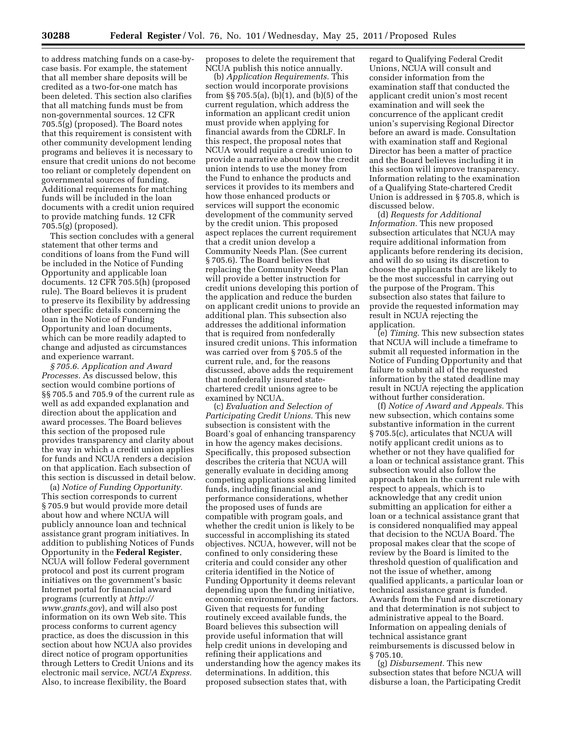to address matching funds on a case-bycase basis. For example, the statement that all member share deposits will be credited as a two-for-one match has been deleted. This section also clarifies that all matching funds must be from non-governmental sources. 12 CFR 705.5(g) (proposed). The Board notes that this requirement is consistent with other community development lending programs and believes it is necessary to ensure that credit unions do not become too reliant or completely dependent on governmental sources of funding. Additional requirements for matching funds will be included in the loan documents with a credit union required to provide matching funds. 12 CFR 705.5(g) (proposed).

This section concludes with a general statement that other terms and conditions of loans from the Fund will be included in the Notice of Funding Opportunity and applicable loan documents. 12 CFR 705.5(h) (proposed rule). The Board believes it is prudent to preserve its flexibility by addressing other specific details concerning the loan in the Notice of Funding Opportunity and loan documents, which can be more readily adapted to change and adjusted as circumstances and experience warrant.

*§ 705.6. Application and Award Processes.* As discussed below, this section would combine portions of §§ 705.5 and 705.9 of the current rule as well as add expanded explanation and direction about the application and award processes. The Board believes this section of the proposed rule provides transparency and clarity about the way in which a credit union applies for funds and NCUA renders a decision on that application. Each subsection of this section is discussed in detail below.

(a) *Notice of Funding Opportunity.*  This section corresponds to current § 705.9 but would provide more detail about how and where NCUA will publicly announce loan and technical assistance grant program initiatives. In addition to publishing Notices of Funds Opportunity in the **Federal Register**, NCUA will follow Federal government protocol and post its current program initiatives on the government's basic Internet portal for financial award programs (currently at *[http://](http://www.grants.gov)  [www.grants.gov](http://www.grants.gov)*), and will also post information on its own Web site. This process conforms to current agency practice, as does the discussion in this section about how NCUA also provides direct notice of program opportunities through Letters to Credit Unions and its electronic mail service, *NCUA Express.*  Also, to increase flexibility, the Board

proposes to delete the requirement that NCUA publish this notice annually.

(b) *Application Requirements.* This section would incorporate provisions from §§ 705.5(a), (b) $(1)$ , and (b)(5) of the current regulation, which address the information an applicant credit union must provide when applying for financial awards from the CDRLF. In this respect, the proposal notes that NCUA would require a credit union to provide a narrative about how the credit union intends to use the money from the Fund to enhance the products and services it provides to its members and how those enhanced products or services will support the economic development of the community served by the credit union. This proposed aspect replaces the current requirement that a credit union develop a Community Needs Plan. (See current § 705.6). The Board believes that replacing the Community Needs Plan will provide a better instruction for credit unions developing this portion of the application and reduce the burden on applicant credit unions to provide an additional plan. This subsection also addresses the additional information that is required from nonfederally insured credit unions. This information was carried over from § 705.5 of the current rule, and, for the reasons discussed, above adds the requirement that nonfederally insured statechartered credit unions agree to be examined by NCUA.

(c) *Evaluation and Selection of Participating Credit Unions.* This new subsection is consistent with the Board's goal of enhancing transparency in how the agency makes decisions. Specifically, this proposed subsection describes the criteria that NCUA will generally evaluate in deciding among competing applications seeking limited funds, including financial and performance considerations, whether the proposed uses of funds are compatible with program goals, and whether the credit union is likely to be successful in accomplishing its stated objectives. NCUA, however, will not be confined to only considering these criteria and could consider any other criteria identified in the Notice of Funding Opportunity it deems relevant depending upon the funding initiative, economic environment, or other factors. Given that requests for funding routinely exceed available funds, the Board believes this subsection will provide useful information that will help credit unions in developing and refining their applications and understanding how the agency makes its determinations. In addition, this proposed subsection states that, with

regard to Qualifying Federal Credit Unions, NCUA will consult and consider information from the examination staff that conducted the applicant credit union's most recent examination and will seek the concurrence of the applicant credit union's supervising Regional Director before an award is made. Consultation with examination staff and Regional Director has been a matter of practice and the Board believes including it in this section will improve transparency. Information relating to the examination of a Qualifying State-chartered Credit Union is addressed in § 705.8, which is discussed below.

(d) *Requests for Additional Information.* This new proposed subsection articulates that NCUA may require additional information from applicants before rendering its decision, and will do so using its discretion to choose the applicants that are likely to be the most successful in carrying out the purpose of the Program. This subsection also states that failure to provide the requested information may result in NCUA rejecting the application.

(e) *Timing.* This new subsection states that NCUA will include a timeframe to submit all requested information in the Notice of Funding Opportunity and that failure to submit all of the requested information by the stated deadline may result in NCUA rejecting the application without further consideration.

(f) *Notice of Award and Appeals.* This new subsection, which contains some substantive information in the current § 705.5(c), articulates that NCUA will notify applicant credit unions as to whether or not they have qualified for a loan or technical assistance grant. This subsection would also follow the approach taken in the current rule with respect to appeals, which is to acknowledge that any credit union submitting an application for either a loan or a technical assistance grant that is considered nonqualified may appeal that decision to the NCUA Board. The proposal makes clear that the scope of review by the Board is limited to the threshold question of qualification and not the issue of whether, among qualified applicants, a particular loan or technical assistance grant is funded. Awards from the Fund are discretionary and that determination is not subject to administrative appeal to the Board. Information on appealing denials of technical assistance grant reimbursements is discussed below in § 705.10.

(g) *Disbursement.* This new subsection states that before NCUA will disburse a loan, the Participating Credit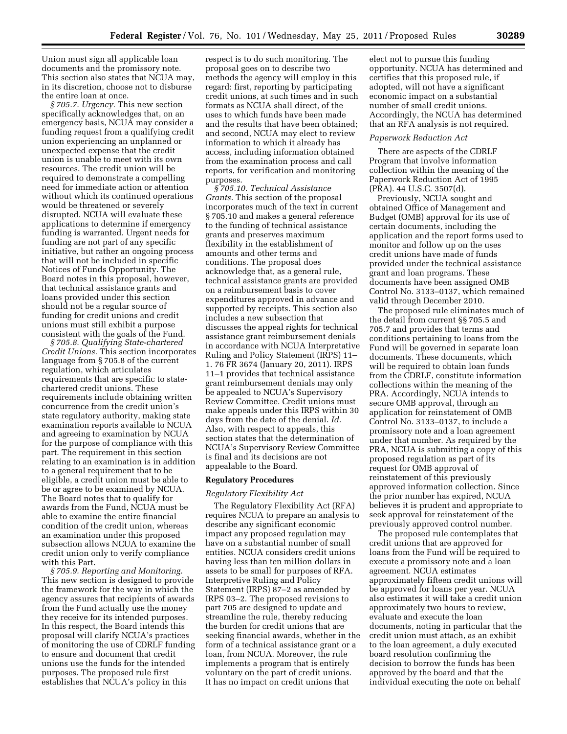Union must sign all applicable loan documents and the promissory note. This section also states that NCUA may, in its discretion, choose not to disburse the entire loan at once.

*§ 705.7. Urgency.* This new section specifically acknowledges that, on an emergency basis, NCUA may consider a funding request from a qualifying credit union experiencing an unplanned or unexpected expense that the credit union is unable to meet with its own resources. The credit union will be required to demonstrate a compelling need for immediate action or attention without which its continued operations would be threatened or severely disrupted. NCUA will evaluate these applications to determine if emergency funding is warranted. Urgent needs for funding are not part of any specific initiative, but rather an ongoing process that will not be included in specific Notices of Funds Opportunity. The Board notes in this proposal, however, that technical assistance grants and loans provided under this section should not be a regular source of funding for credit unions and credit unions must still exhibit a purpose consistent with the goals of the Fund.

*§ 705.8. Qualifying State-chartered Credit Unions.* This section incorporates language from § 705.8 of the current regulation, which articulates requirements that are specific to statechartered credit unions. These requirements include obtaining written concurrence from the credit union's state regulatory authority, making state examination reports available to NCUA and agreeing to examination by NCUA for the purpose of compliance with this part. The requirement in this section relating to an examination is in addition to a general requirement that to be eligible, a credit union must be able to be or agree to be examined by NCUA. The Board notes that to qualify for awards from the Fund, NCUA must be able to examine the entire financial condition of the credit union, whereas an examination under this proposed subsection allows NCUA to examine the credit union only to verify compliance with this Part.

*§ 705.9. Reporting and Monitoring.*  This new section is designed to provide the framework for the way in which the agency assures that recipients of awards from the Fund actually use the money they receive for its intended purposes. In this respect, the Board intends this proposal will clarify NCUA's practices of monitoring the use of CDRLF funding to ensure and document that credit unions use the funds for the intended purposes. The proposed rule first establishes that NCUA's policy in this

respect is to do such monitoring. The proposal goes on to describe two methods the agency will employ in this regard: first, reporting by participating credit unions, at such times and in such formats as NCUA shall direct, of the uses to which funds have been made and the results that have been obtained; and second, NCUA may elect to review information to which it already has access, including information obtained from the examination process and call reports, for verification and monitoring purposes.

*§ 705.10. Technical Assistance Grants.* This section of the proposal incorporates much of the text in current § 705.10 and makes a general reference to the funding of technical assistance grants and preserves maximum flexibility in the establishment of amounts and other terms and conditions. The proposal does acknowledge that, as a general rule, technical assistance grants are provided on a reimbursement basis to cover expenditures approved in advance and supported by receipts. This section also includes a new subsection that discusses the appeal rights for technical assistance grant reimbursement denials in accordance with NCUA Interpretative Ruling and Policy Statement (IRPS) 11– 1. 76 FR 3674 (January 20, 2011). IRPS 11–1 provides that technical assistance grant reimbursement denials may only be appealed to NCUA's Supervisory Review Committee. Credit unions must make appeals under this IRPS within 30 days from the date of the denial. *Id.*  Also, with respect to appeals, this section states that the determination of NCUA's Supervisory Review Committee is final and its decisions are not appealable to the Board.

#### **Regulatory Procedures**

### *Regulatory Flexibility Act*

The Regulatory Flexibility Act (RFA) requires NCUA to prepare an analysis to describe any significant economic impact any proposed regulation may have on a substantial number of small entities. NCUA considers credit unions having less than ten million dollars in assets to be small for purposes of RFA. Interpretive Ruling and Policy Statement (IRPS) 87–2 as amended by IRPS 03–2. The proposed revisions to part 705 are designed to update and streamline the rule, thereby reducing the burden for credit unions that are seeking financial awards, whether in the form of a technical assistance grant or a loan, from NCUA. Moreover, the rule implements a program that is entirely voluntary on the part of credit unions. It has no impact on credit unions that

elect not to pursue this funding opportunity. NCUA has determined and certifies that this proposed rule, if adopted, will not have a significant economic impact on a substantial number of small credit unions. Accordingly, the NCUA has determined that an RFA analysis is not required.

#### *Paperwork Reduction Act*

There are aspects of the CDRLF Program that involve information collection within the meaning of the Paperwork Reduction Act of 1995 (PRA). 44 U.S.C. 3507(d).

Previously, NCUA sought and obtained Office of Management and Budget (OMB) approval for its use of certain documents, including the application and the report forms used to monitor and follow up on the uses credit unions have made of funds provided under the technical assistance grant and loan programs. These documents have been assigned OMB Control No. 3133–0137, which remained valid through December 2010.

The proposed rule eliminates much of the detail from current §§ 705.5 and 705.7 and provides that terms and conditions pertaining to loans from the Fund will be governed in separate loan documents. These documents, which will be required to obtain loan funds from the CDRLF, constitute information collections within the meaning of the PRA. Accordingly, NCUA intends to secure OMB approval, through an application for reinstatement of OMB Control No. 3133–0137, to include a promissory note and a loan agreement under that number. As required by the PRA, NCUA is submitting a copy of this proposed regulation as part of its request for OMB approval of reinstatement of this previously approved information collection. Since the prior number has expired, NCUA believes it is prudent and appropriate to seek approval for reinstatement of the previously approved control number.

The proposed rule contemplates that credit unions that are approved for loans from the Fund will be required to execute a promissory note and a loan agreement. NCUA estimates approximately fifteen credit unions will be approved for loans per year. NCUA also estimates it will take a credit union approximately two hours to review, evaluate and execute the loan documents, noting in particular that the credit union must attach, as an exhibit to the loan agreement, a duly executed board resolution confirming the decision to borrow the funds has been approved by the board and that the individual executing the note on behalf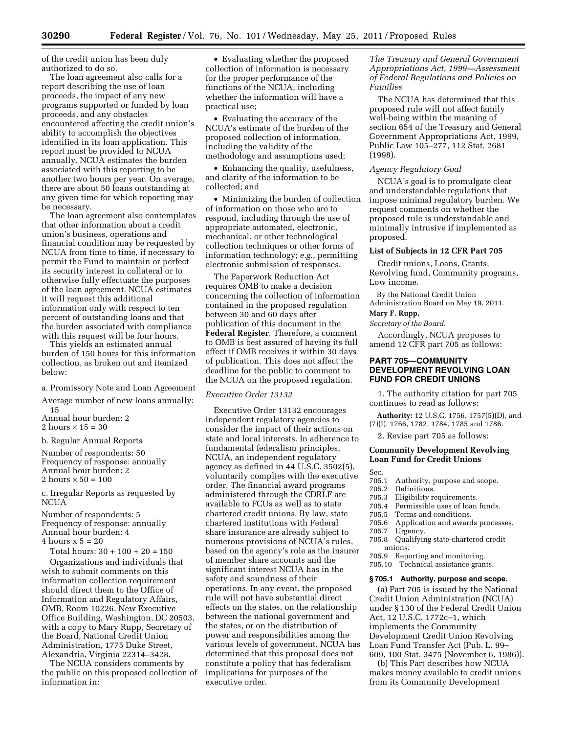of the credit union has been duly authorized to do so.

The loan agreement also calls for a report describing the use of loan proceeds, the impact of any new programs supported or funded by loan proceeds, and any obstacles encountered affecting the credit union's ability to accomplish the objectives identified in its loan application. This report must be provided to NCUA annually. NCUA estimates the burden associated with this reporting to be another two hours per year. On average, there are about 50 loans outstanding at any given time for which reporting may be necessary.

The loan agreement also contemplates that other information about a credit union's business, operations and financial condition may be requested by NCUA from time to time, if necessary to permit the Fund to maintain or perfect its security interest in collateral or to otherwise fully effectuate the purposes of the loan agreement. NCUA estimates it will request this additional information only with respect to ten percent of outstanding loans and that the burden associated with compliance with this request will be four hours.

This yields an estimated annual burden of 150 hours for this information collection, as broken out and itemized below:

# a. Promissory Note and Loan Agreement

Average number of new loans annually: 15

Annual hour burden: 2 2 hours  $\times$  15 = 30

b. Regular Annual Reports

Number of respondents: 50 Frequency of response: annually Annual hour burden: 2 2 hours  $\times$  50 = 100

c. Irregular Reports as requested by **NCUA** 

Number of respondents: 5 Frequency of response: annually Annual hour burden: 4 4 hours  $x$  5 = 20

Total hours: 30 + 100 + 20 = 150 Organizations and individuals that wish to submit comments on this information collection requirement should direct them to the Office of Information and Regulatory Affairs, OMB, Room 10226, New Executive Office Building, Washington, DC 20503, with a copy to Mary Rupp, Secretary of the Board, National Credit Union Administration, 1775 Duke Street, Alexandria, Virginia 22314–3428.

The NCUA considers comments by the public on this proposed collection of information in:

• Evaluating whether the proposed collection of information is necessary for the proper performance of the functions of the NCUA, including whether the information will have a practical use;

• Evaluating the accuracy of the NCUA's estimate of the burden of the proposed collection of information, including the validity of the methodology and assumptions used;

• Enhancing the quality, usefulness, and clarity of the information to be collected; and

• Minimizing the burden of collection of information on those who are to respond, including through the use of appropriate automated, electronic, mechanical, or other technological collection techniques or other forms of information technology; *e.g.,* permitting electronic submission of responses.

The Paperwork Reduction Act requires OMB to make a decision concerning the collection of information contained in the proposed regulation between 30 and 60 days after publication of this document in the **Federal Register**. Therefore, a comment to OMB is best assured of having its full effect if OMB receives it within 30 days of publication. This does not affect the deadline for the public to comment to the NCUA on the proposed regulation.

### *Executive Order 13132*

Executive Order 13132 encourages independent regulatory agencies to consider the impact of their actions on state and local interests. In adherence to fundamental federalism principles, NCUA, an independent regulatory agency as defined in 44 U.S.C. 3502(5), voluntarily complies with the executive order. The financial award programs administered through the CDRLF are available to FCUs as well as to state chartered credit unions. By law, state chartered institutions with Federal share insurance are already subject to numerous provisions of NCUA's rules, based on the agency's role as the insurer of member share accounts and the significant interest NCUA has in the safety and soundness of their operations. In any event, the proposed rule will not have substantial direct effects on the states, on the relationship between the national government and the states, or on the distribution of power and responsibilities among the various levels of government. NCUA has determined that this proposal does not constitute a policy that has federalism implications for purposes of the executive order.

*The Treasury and General Government Appropriations Act, 1999—Assessment of Federal Regulations and Policies on Families* 

The NCUA has determined that this proposed rule will not affect family well-being within the meaning of section 654 of the Treasury and General Government Appropriations Act, 1999, Public Law 105–277, 112 Stat. 2681 (1998).

### *Agency Regulatory Goal*

NCUA's goal is to promulgate clear and understandable regulations that impose minimal regulatory burden. We request comments on whether the proposed rule is understandable and minimally intrusive if implemented as proposed.

### **List of Subjects in 12 CFR Part 705**

Credit unions, Loans, Grants, Revolving fund, Community programs, Low income.

By the National Credit Union Administration Board on May 19, 2011.

### **Mary F. Rupp,**

*Secretary of the Board.* 

Accordingly, NCUA proposes to amend 12 CFR part 705 as follows:

# **PART 705—COMMUNITY DEVELOPMENT REVOLVING LOAN FUND FOR CREDIT UNIONS**

1. The authority citation for part 705 continues to read as follows:

**Authority:** 12 U.S.C. 1756, 1757(5)(D), and (7)(I), 1766, 1782, 1784, 1785 and 1786.

2. Revise part 705 as follows:

# **Community Development Revolving Loan Fund for Credit Unions**

- Sec.<br>705.1 705.1 Authority, purpose and scope.<br>705.2 Definitions.
- 705.2 Definitions.<br>705.3 Eligibility re
- 705.3 Eligibility requirements.
- 705.4 Permissible uses of loan funds.
- Terms and conditions.
- 705.6 Application and awards processes.<br>705.7 Urgency.
- 
- 705.7 Urgency.<br>705.8 Oualifyin Qualifying state-chartered credit unions.
- 705.9 Reporting and monitoring.
- 705.10 Technical assistance grants.

## **§ 705.1 Authority, purpose and scope.**

(a) Part 705 is issued by the National Credit Union Administration (NCUA) under § 130 of the Federal Credit Union Act, 12 U.S.C. 1772c–1, which implements the Community Development Credit Union Revolving Loan Fund Transfer Act (Pub. L. 99– 609, 100 Stat. 3475 (November 6, 1986)).

(b) This Part describes how NCUA makes money available to credit unions from its Community Development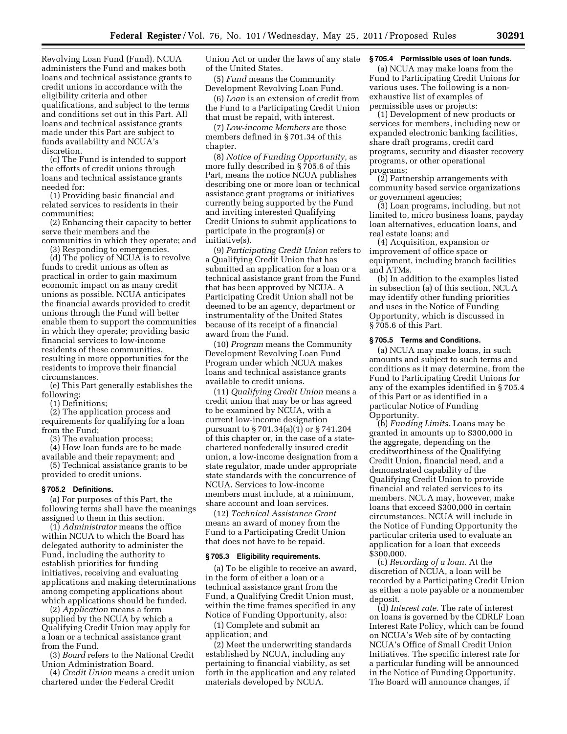Revolving Loan Fund (Fund). NCUA administers the Fund and makes both loans and technical assistance grants to credit unions in accordance with the eligibility criteria and other qualifications, and subject to the terms and conditions set out in this Part. All loans and technical assistance grants made under this Part are subject to funds availability and NCUA's discretion.

(c) The Fund is intended to support the efforts of credit unions through loans and technical assistance grants needed for:

(1) Providing basic financial and related services to residents in their communities;

(2) Enhancing their capacity to better serve their members and the communities in which they operate; and

(3) Responding to emergencies.

(d) The policy of NCUA is to revolve funds to credit unions as often as practical in order to gain maximum economic impact on as many credit unions as possible. NCUA anticipates the financial awards provided to credit unions through the Fund will better enable them to support the communities in which they operate; providing basic financial services to low-income residents of these communities, resulting in more opportunities for the residents to improve their financial circumstances.

(e) This Part generally establishes the following:

(1) Definitions;

(2) The application process and requirements for qualifying for a loan from the Fund;

(3) The evaluation process;

(4) How loan funds are to be made available and their repayment; and

(5) Technical assistance grants to be provided to credit unions.

### **§ 705.2 Definitions.**

(a) For purposes of this Part, the following terms shall have the meanings assigned to them in this section.

(1) *Administrator* means the office within NCUA to which the Board has delegated authority to administer the Fund, including the authority to establish priorities for funding initiatives, receiving and evaluating applications and making determinations among competing applications about which applications should be funded.

(2) *Application* means a form supplied by the NCUA by which a Qualifying Credit Union may apply for a loan or a technical assistance grant from the Fund.

(3) *Board* refers to the National Credit Union Administration Board.

(4) *Credit Union* means a credit union chartered under the Federal Credit

Union Act or under the laws of any state of the United States.

(5) *Fund* means the Community Development Revolving Loan Fund.

(6) *Loan* is an extension of credit from the Fund to a Participating Credit Union that must be repaid, with interest.

(7) *Low-income Members* are those members defined in § 701.34 of this chapter.

(8) *Notice of Funding Opportunity,* as more fully described in § 705.6 of this Part, means the notice NCUA publishes describing one or more loan or technical assistance grant programs or initiatives currently being supported by the Fund and inviting interested Qualifying Credit Unions to submit applications to participate in the program(s) or initiative(s).

(9) *Participating Credit Union* refers to a Qualifying Credit Union that has submitted an application for a loan or a technical assistance grant from the Fund that has been approved by NCUA. A Participating Credit Union shall not be deemed to be an agency, department or instrumentality of the United States because of its receipt of a financial award from the Fund.

(10) *Program* means the Community Development Revolving Loan Fund Program under which NCUA makes loans and technical assistance grants available to credit unions.

(11) *Qualifying Credit Union* means a credit union that may be or has agreed to be examined by NCUA, with a current low-income designation pursuant to § 701.34(a)(1) or § 741.204 of this chapter or, in the case of a statechartered nonfederally insured credit union, a low-income designation from a state regulator, made under appropriate state standards with the concurrence of NCUA. Services to low-income members must include, at a minimum, share account and loan services.

(12) *Technical Assistance Grant*  means an award of money from the Fund to a Participating Credit Union that does not have to be repaid.

#### **§ 705.3 Eligibility requirements.**

(a) To be eligible to receive an award, in the form of either a loan or a technical assistance grant from the Fund, a Qualifying Credit Union must, within the time frames specified in any Notice of Funding Opportunity, also:

(1) Complete and submit an application; and

(2) Meet the underwriting standards established by NCUA, including any pertaining to financial viability, as set forth in the application and any related materials developed by NCUA.

### **§ 705.4 Permissible uses of loan funds.**

(a) NCUA may make loans from the Fund to Participating Credit Unions for various uses. The following is a nonexhaustive list of examples of permissible uses or projects:

(1) Development of new products or services for members, including new or expanded electronic banking facilities, share draft programs, credit card programs, security and disaster recovery programs, or other operational programs;

(2) Partnership arrangements with community based service organizations or government agencies;

(3) Loan programs, including, but not limited to, micro business loans, payday loan alternatives, education loans, and real estate loans; and

(4) Acquisition, expansion or improvement of office space or equipment, including branch facilities and ATMs.

(b) In addition to the examples listed in subsection (a) of this section, NCUA may identify other funding priorities and uses in the Notice of Funding Opportunity, which is discussed in § 705.6 of this Part.

### **§ 705.5 Terms and Conditions.**

(a) NCUA may make loans, in such amounts and subject to such terms and conditions as it may determine, from the Fund to Participating Credit Unions for any of the examples identified in § 705.4 of this Part or as identified in a particular Notice of Funding Opportunity.

(b) *Funding Limits.* Loans may be granted in amounts up to \$300,000 in the aggregate, depending on the creditworthiness of the Qualifying Credit Union, financial need, and a demonstrated capability of the Qualifying Credit Union to provide financial and related services to its members. NCUA may, however, make loans that exceed \$300,000 in certain circumstances. NCUA will include in the Notice of Funding Opportunity the particular criteria used to evaluate an application for a loan that exceeds \$300,000.

(c) *Recording of a loan.* At the discretion of NCUA, a loan will be recorded by a Participating Credit Union as either a note payable or a nonmember deposit.

(d) *Interest rate.* The rate of interest on loans is governed by the CDRLF Loan Interest Rate Policy, which can be found on NCUA's Web site of by contacting NCUA's Office of Small Credit Union Initiatives. The specific interest rate for a particular funding will be announced in the Notice of Funding Opportunity. The Board will announce changes, if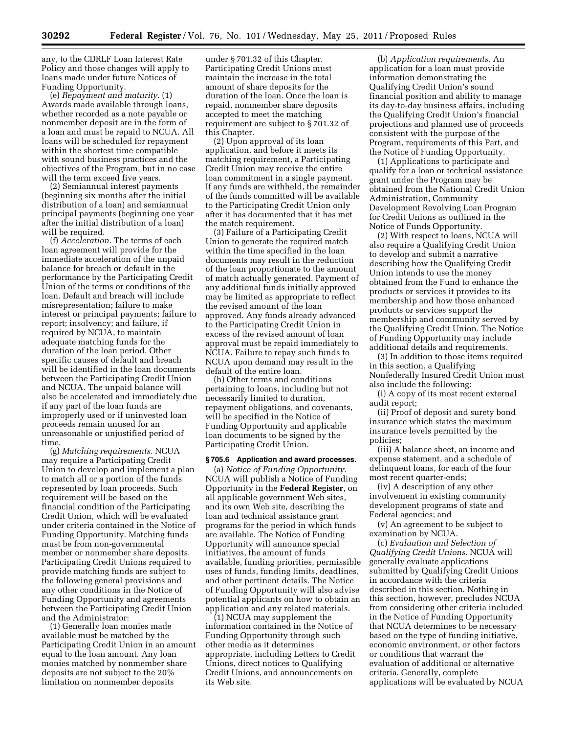any, to the CDRLF Loan Interest Rate Policy and those changes will apply to loans made under future Notices of Funding Opportunity.

(e) *Repayment and maturity.* (1) Awards made available through loans, whether recorded as a note payable or nonmember deposit are in the form of a loan and must be repaid to NCUA. All loans will be scheduled for repayment within the shortest time compatible with sound business practices and the objectives of the Program, but in no case will the term exceed five years.

(2) Semiannual interest payments (beginning six months after the initial distribution of a loan) and semiannual principal payments (beginning one year after the initial distribution of a loan) will be required.

(f) *Acceleration.* The terms of each loan agreement will provide for the immediate acceleration of the unpaid balance for breach or default in the performance by the Participating Credit Union of the terms or conditions of the loan. Default and breach will include misrepresentation; failure to make interest or principal payments; failure to report; insolvency; and failure, if required by NCUA, to maintain adequate matching funds for the duration of the loan period. Other specific causes of default and breach will be identified in the loan documents between the Participating Credit Union and NCUA. The unpaid balance will also be accelerated and immediately due if any part of the loan funds are improperly used or if uninvested loan proceeds remain unused for an unreasonable or unjustified period of time.

(g) *Matching requirements.* NCUA may require a Participating Credit Union to develop and implement a plan to match all or a portion of the funds represented by loan proceeds. Such requirement will be based on the financial condition of the Participating Credit Union, which will be evaluated under criteria contained in the Notice of Funding Opportunity. Matching funds must be from non-governmental member or nonmember share deposits. Participating Credit Unions required to provide matching funds are subject to the following general provisions and any other conditions in the Notice of Funding Opportunity and agreements between the Participating Credit Union and the Administrator:

(1) Generally loan monies made available must be matched by the Participating Credit Union in an amount equal to the loan amount. Any loan monies matched by nonmember share deposits are not subject to the 20% limitation on nonmember deposits

under § 701.32 of this Chapter. Participating Credit Unions must maintain the increase in the total amount of share deposits for the duration of the loan. Once the loan is repaid, nonmember share deposits accepted to meet the matching requirement are subject to § 701.32 of this Chapter.

(2) Upon approval of its loan application, and before it meets its matching requirement, a Participating Credit Union may receive the entire loan commitment in a single payment. If any funds are withheld, the remainder of the funds committed will be available to the Participating Credit Union only after it has documented that it has met the match requirement.

(3) Failure of a Participating Credit Union to generate the required match within the time specified in the loan documents may result in the reduction of the loan proportionate to the amount of match actually generated. Payment of any additional funds initially approved may be limited as appropriate to reflect the revised amount of the loan approved. Any funds already advanced to the Participating Credit Union in excess of the revised amount of loan approval must be repaid immediately to NCUA. Failure to repay such funds to NCUA upon demand may result in the default of the entire loan.

(h) Other terms and conditions pertaining to loans, including but not necessarily limited to duration, repayment obligations, and covenants, will be specified in the Notice of Funding Opportunity and applicable loan documents to be signed by the Participating Credit Union.

### **§ 705.6 Application and award processes.**

(a) *Notice of Funding Opportunity.*  NCUA will publish a Notice of Funding Opportunity in the **Federal Register**, on all applicable government Web sites, and its own Web site, describing the loan and technical assistance grant programs for the period in which funds are available. The Notice of Funding Opportunity will announce special initiatives, the amount of funds available, funding priorities, permissible uses of funds, funding limits, deadlines, and other pertinent details. The Notice of Funding Opportunity will also advise potential applicants on how to obtain an application and any related materials.

(1) NCUA may supplement the information contained in the Notice of Funding Opportunity through such other media as it determines appropriate, including Letters to Credit Unions, direct notices to Qualifying Credit Unions, and announcements on its Web site.

(b) *Application requirements.* An application for a loan must provide information demonstrating the Qualifying Credit Union's sound financial position and ability to manage its day-to-day business affairs, including the Qualifying Credit Union's financial projections and planned use of proceeds consistent with the purpose of the Program, requirements of this Part, and the Notice of Funding Opportunity.

(1) Applications to participate and qualify for a loan or technical assistance grant under the Program may be obtained from the National Credit Union Administration, Community Development Revolving Loan Program for Credit Unions as outlined in the Notice of Funds Opportunity.

(2) With respect to loans, NCUA will also require a Qualifying Credit Union to develop and submit a narrative describing how the Qualifying Credit Union intends to use the money obtained from the Fund to enhance the products or services it provides to its membership and how those enhanced products or services support the membership and community served by the Qualifying Credit Union. The Notice of Funding Opportunity may include additional details and requirements.

(3) In addition to those items required in this section, a Qualifying Nonfederally Insured Credit Union must also include the following:

(i) A copy of its most recent external audit report;

(ii) Proof of deposit and surety bond insurance which states the maximum insurance levels permitted by the policies;

(iii) A balance sheet, an income and expense statement, and a schedule of delinquent loans, for each of the four most recent quarter-ends;

(iv) A description of any other involvement in existing community development programs of state and Federal agencies; and

(v) An agreement to be subject to examination by NCUA.

(c) *Evaluation and Selection of Qualifying Credit Unions.* NCUA will generally evaluate applications submitted by Qualifying Credit Unions in accordance with the criteria described in this section. Nothing in this section, however, precludes NCUA from considering other criteria included in the Notice of Funding Opportunity that NCUA determines to be necessary based on the type of funding initiative, economic environment, or other factors or conditions that warrant the evaluation of additional or alternative criteria. Generally, complete applications will be evaluated by NCUA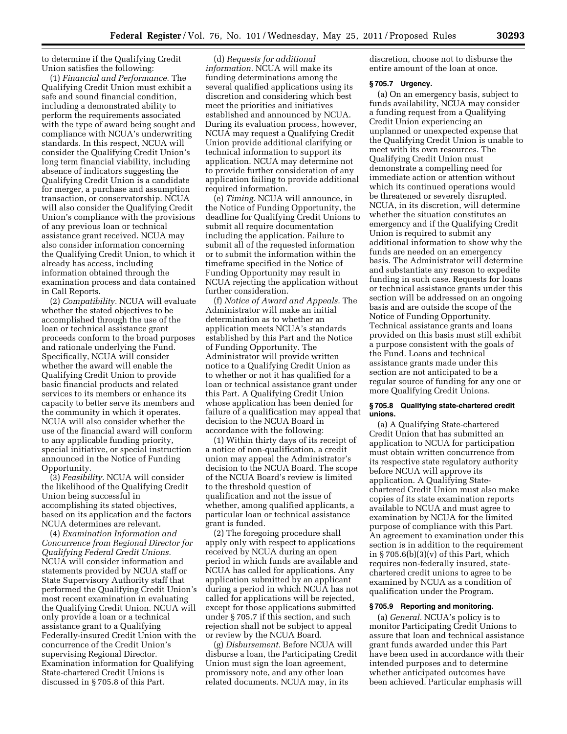to determine if the Qualifying Credit Union satisfies the following:

(1) *Financial and Performance.* The Qualifying Credit Union must exhibit a safe and sound financial condition, including a demonstrated ability to perform the requirements associated with the type of award being sought and compliance with NCUA's underwriting standards. In this respect, NCUA will consider the Qualifying Credit Union's long term financial viability, including absence of indicators suggesting the Qualifying Credit Union is a candidate for merger, a purchase and assumption transaction, or conservatorship. NCUA will also consider the Qualifying Credit Union's compliance with the provisions of any previous loan or technical assistance grant received. NCUA may also consider information concerning the Qualifying Credit Union, to which it already has access, including information obtained through the examination process and data contained in Call Reports.

(2) *Compatibility.* NCUA will evaluate whether the stated objectives to be accomplished through the use of the loan or technical assistance grant proceeds conform to the broad purposes and rationale underlying the Fund. Specifically, NCUA will consider whether the award will enable the Qualifying Credit Union to provide basic financial products and related services to its members or enhance its capacity to better serve its members and the community in which it operates. NCUA will also consider whether the use of the financial award will conform to any applicable funding priority, special initiative, or special instruction announced in the Notice of Funding Opportunity.

(3) *Feasibility.* NCUA will consider the likelihood of the Qualifying Credit Union being successful in accomplishing its stated objectives, based on its application and the factors NCUA determines are relevant.

(4) *Examination Information and Concurrence from Regional Director for Qualifying Federal Credit Unions.*  NCUA will consider information and statements provided by NCUA staff or State Supervisory Authority staff that performed the Qualifying Credit Union's most recent examination in evaluating the Qualifying Credit Union. NCUA will only provide a loan or a technical assistance grant to a Qualifying Federally-insured Credit Union with the concurrence of the Credit Union's supervising Regional Director. Examination information for Qualifying State-chartered Credit Unions is discussed in § 705.8 of this Part.

(d) *Requests for additional information.* NCUA will make its funding determinations among the several qualified applications using its discretion and considering which best meet the priorities and initiatives established and announced by NCUA. During its evaluation process, however, NCUA may request a Qualifying Credit Union provide additional clarifying or technical information to support its application. NCUA may determine not to provide further consideration of any application failing to provide additional required information.

(e) *Timing.* NCUA will announce, in the Notice of Funding Opportunity, the deadline for Qualifying Credit Unions to submit all require documentation including the application. Failure to submit all of the requested information or to submit the information within the timeframe specified in the Notice of Funding Opportunity may result in NCUA rejecting the application without further consideration.

(f) *Notice of Award and Appeals.* The Administrator will make an initial determination as to whether an application meets NCUA's standards established by this Part and the Notice of Funding Opportunity. The Administrator will provide written notice to a Qualifying Credit Union as to whether or not it has qualified for a loan or technical assistance grant under this Part. A Qualifying Credit Union whose application has been denied for failure of a qualification may appeal that decision to the NCUA Board in accordance with the following:

(1) Within thirty days of its receipt of a notice of non-qualification, a credit union may appeal the Administrator's decision to the NCUA Board. The scope of the NCUA Board's review is limited to the threshold question of qualification and not the issue of whether, among qualified applicants, a particular loan or technical assistance grant is funded.

(2) The foregoing procedure shall apply only with respect to applications received by NCUA during an open period in which funds are available and NCUA has called for applications. Any application submitted by an applicant during a period in which NCUA has not called for applications will be rejected, except for those applications submitted under § 705.7 if this section, and such rejection shall not be subject to appeal or review by the NCUA Board.

(g) *Disbursement.* Before NCUA will disburse a loan, the Participating Credit Union must sign the loan agreement, promissory note, and any other loan related documents. NCUA may, in its

discretion, choose not to disburse the entire amount of the loan at once.

### **§ 705.7 Urgency.**

(a) On an emergency basis, subject to funds availability, NCUA may consider a funding request from a Qualifying Credit Union experiencing an unplanned or unexpected expense that the Qualifying Credit Union is unable to meet with its own resources. The Qualifying Credit Union must demonstrate a compelling need for immediate action or attention without which its continued operations would be threatened or severely disrupted. NCUA, in its discretion, will determine whether the situation constitutes an emergency and if the Qualifying Credit Union is required to submit any additional information to show why the funds are needed on an emergency basis. The Administrator will determine and substantiate any reason to expedite funding in such case. Requests for loans or technical assistance grants under this section will be addressed on an ongoing basis and are outside the scope of the Notice of Funding Opportunity. Technical assistance grants and loans provided on this basis must still exhibit a purpose consistent with the goals of the Fund. Loans and technical assistance grants made under this section are not anticipated to be a regular source of funding for any one or more Qualifying Credit Unions.

### **§ 705.8 Qualifying state-chartered credit unions.**

(a) A Qualifying State-chartered Credit Union that has submitted an application to NCUA for participation must obtain written concurrence from its respective state regulatory authority before NCUA will approve its application. A Qualifying Statechartered Credit Union must also make copies of its state examination reports available to NCUA and must agree to examination by NCUA for the limited purpose of compliance with this Part. An agreement to examination under this section is in addition to the requirement in  $\S 705.6(b)(3)(v)$  of this Part, which requires non-federally insured, statechartered credit unions to agree to be examined by NCUA as a condition of qualification under the Program.

# **§ 705.9 Reporting and monitoring.**

(a) *General.* NCUA's policy is to monitor Participating Credit Unions to assure that loan and technical assistance grant funds awarded under this Part have been used in accordance with their intended purposes and to determine whether anticipated outcomes have been achieved. Particular emphasis will